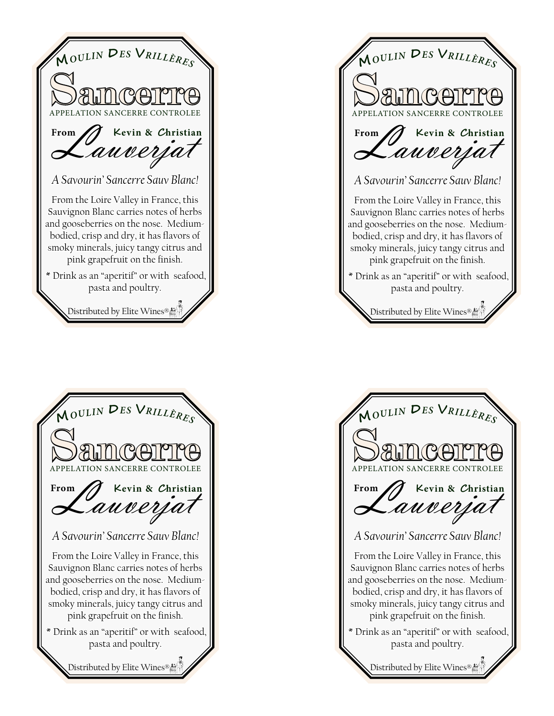*A Savourin' Sancerre Sauv Blanc!*  From the Loire Valley in France, this Sauvignon Blanc carries notes of herbs and gooseberries on the nose. Mediumbodied, crisp and dry, it has flavors of smoky minerals, juicy tangy citrus and pink grapefruit on the finish. \* Drink as an "aperitif" or with seafood, pasta and poultry. **APPELATION SANCERRE CONTROLEE <sup>M</sup>***OULI<sup>N</sup>* **<sup>D</sup>***E<sup>S</sup>* **<sup>V</sup>***RILLÈRE<sup>S</sup>* From J Kevin & Christi **Kevin** & *C*hristian **Example 3** Erom Distributed by Elite Wines®



*A Savourin' Sancerre Sauv Blanc!*  From the Loire Valley in France, this Sauvignon Blanc carries notes of herbs and gooseberries on the nose. Mediumbodied, crisp and dry, it has flavors of smoky minerals, juicy tangy citrus and pink grapefruit on the finish. \* Drink as an "aperitif" or with seafood, pasta and poultry. APPELATION SANCERRE CONTROLEE **<sup>M</sup>***OULI<sup>N</sup>* **<sup>D</sup>***E<sup>S</sup>* **<sup>V</sup>***RILLÈRE<sup>S</sup>* From J Kevin & Christia **Kevin & Christian** Distributed by Elite Wines®